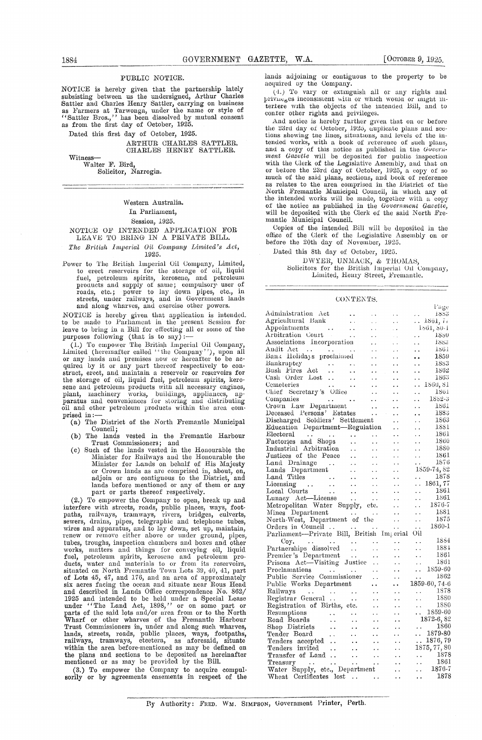#### PUBLIC NOTICE.

NOTICE is hereby given that the partnership lately subsisting between us the undersigned, Arthur Charles Sattler and Charles Henry Sattler, carrying on business as Farmers at Tarwonga, under the name or style of "Sattler Bros.," has been dissolved by mutual consent as from the first day of October, 1925.

Dated this first day of October, 1925.

ARTHUR CHARLES SATTLER. CHARLES HENRY SATTLER.

Witness Walter P. Bird,

Solicitor, Narrogin.

#### Western Australia. In Parliament, Session, 1925.

#### NOTICE OF INTENDED APPLICATION FOR LEAVE TO BRLNG IN A PRIVATE BILL.

The British Imperial Oil Company Limited's Act, 1925.

Power to The British Imperial Oil Company, Limited, to erect reservoirs for the storage of oil, liquid fuel, petroleum spirits, kerosene, and petroleum products and supply of same; compulsory user of<br>roads, etc.; power to lay down pipes, etc., in streets, under railways, and in Government lands and along wharves, and exercise other powers.

NOTICE is hereby given that application is intended. to be made to Parliament in the present Session for leave to bring in a Bill for effecting all or some of the purposes following (that is to say)

(I.) To empower The British Imperial Oil Company, Limited (hereinafter called 'the Company''), upon all or any lands and premises now or hereafter to be ac-quired by it or any part thereof respectively to construct, erect, and maintain a reservoir or reservoirs for the storage of oil, liquid fuel, petroleum spirits, kerosene and petroleum products with all necessary engines, plant, machinery works, buildings, appliances, apparatus and conveniences for storing and distributing oil and other petroleum products within the area comprised in:

(a) The District of the North Fremantle Municipal Council;

- (b) The lands vested in the Fremantle Harbour Trust Commissioners; and (e) Such of the lands vested in the Honourable the
- Minister for Railways and the Honourable the Minister for Lands on behalf of His Majesty or Crown lands as are comprised in, about, on, adjoin or are contiguous to the District, and lands before mentioned or any of them or any part or parts thereof respectively.

(2.) To empower the Company to open, break up and interfere with streets, roads, public places, ways, foot-paths, railways, tramways, rivers, bridges, culverts, sewers, drains, pipes, telegraphic and telephone tubes, wires and apparatus, and to lay down, set up, maintain, renew or remove either above or under ground, pipes, tubes, troughs, inspection chambers and boxes and other works, matters and things for conveying oil, liquid fuel, petroleum spirits, kerosene and petroleum products, water and materials to or from its reservoirs, situated on North Fremantle Town Lots 39, 40, 41, part of Lots 45, 47, and 176, and an area of approximately six acres facing the ocean and situate near Rous Head and described in Lands Office correspondence No. 862/ 1925 and intended to be held under a Special Lease under "The Land Act, 1898," or on some part or parts of the said lots and/or area from or to the North Wharf or other wharves of the Fremantle Harbour Trust Commissioners in, under and along such wharves, lands, streets, roads, public places, ways, footpaths, railways, tramways, etcetera, as aforesaid, situate within the area before-mentioned as may be defined on the plans and sections to be deposited as hereinafter mentioned or as may be provided by the Bill.

(3.) To empower the Company to acquire compulsorily or by agreements easements in respect of the

1884 GOVERNMENT GAZETTE, W.A. [OCTOBER 9, 1925.]<br>
PUBLIC NOTICE. and adjoining or contiguous to the property to b<br>
NOTICE is hereby given that the partnership lately<br>
subsisting between us the undersigned, Arthur Charles lands adjoining or contiguous to the property to be acquired by the Company.

(-L) To vary or extinguish all or any rights and privnes inconsistent with or which would or might intertere with the objects of the intended Bill, and to confer other rights and privileges.

And notice is hereby further given that on or before the 23rd day of October, 1920, uuplicate plans and see-- tions showing the lines, situations, and levels of the hitended works, with a book of reference of such plans, and a copy of this notice as published in the *Covent-meat Gazette will* be deposited for public inspection with the Clerk of the Legislative Assembly, and that on or before the 23rd day of October, 1925, a copy of so much of the said plans, sections, and book of reference as relates to the area comprised in the District of the North Fremantle Municipal Council, in which any of the intended works will be made, together with a copy of the notice as published in the *Government Gazette,* will be deposited with the Clerk of the said North Fremantle Municipal Council.

Copies of the intended Bill will be deposited in the office of the Clerk of the Legislative Assembly on or before the 20th day of November, 1925.

Dated this 8th day of October, 1925.

DWYER, UN MACK, & THOMAS, for the British Imperial Oil Company, Limited, Henry Street, Fremantle.

#### CONTENTS.

|                                                                                                                                                                                                                                                                                                                                                                        |                                                           |                        |                      |                      | rage                                                                |
|------------------------------------------------------------------------------------------------------------------------------------------------------------------------------------------------------------------------------------------------------------------------------------------------------------------------------------------------------------------------|-----------------------------------------------------------|------------------------|----------------------|----------------------|---------------------------------------------------------------------|
| Administration Act                                                                                                                                                                                                                                                                                                                                                     |                                                           |                        |                      |                      | 1883                                                                |
| Agricultural Bank                                                                                                                                                                                                                                                                                                                                                      | $\sim$ $\sim$                                             | i.                     | $\ddot{\phantom{0}}$ |                      | $\ldots$ 1861, $\tilde{t}_1$                                        |
| Appointments                                                                                                                                                                                                                                                                                                                                                           | $\ddot{\phantom{1}}$                                      | i,                     | a.                   |                      | 1501, 50-1                                                          |
| Appomentation Court                                                                                                                                                                                                                                                                                                                                                    |                                                           | $\ddot{\phantom{0}}$   |                      | . .                  | 1830                                                                |
| Associations Incorporation                                                                                                                                                                                                                                                                                                                                             |                                                           | . .                    |                      | $\ddot{\phantom{0}}$ | 4883                                                                |
| Audit Act<br>Bank Holidays proclaimed                                                                                                                                                                                                                                                                                                                                  |                                                           | $\ddotsc$              | $\ddot{\phantom{a}}$ | $\ddot{\phantom{a}}$ | <b>1861</b>                                                         |
|                                                                                                                                                                                                                                                                                                                                                                        |                                                           | . .                    | . .                  |                      | 1859                                                                |
| Bankruptcy                                                                                                                                                                                                                                                                                                                                                             | $\ddot{\phantom{a}}$                                      | . .                    | $\ddot{\phantom{1}}$ | έ.                   | 1883                                                                |
| Bankruptcy<br>Bush Fires Act                                                                                                                                                                                                                                                                                                                                           | $\ddotsc$                                                 |                        | . .                  | $\ddot{\phantom{0}}$ | 1862                                                                |
| Cash Order Lost                                                                                                                                                                                                                                                                                                                                                        | $\ddotsc$                                                 |                        |                      | $\ddot{\phantom{1}}$ | 1863                                                                |
| Cemeteries                                                                                                                                                                                                                                                                                                                                                             | . .                                                       |                        |                      | . .                  | 1860, 81                                                            |
| Chief Secretary's Office                                                                                                                                                                                                                                                                                                                                               |                                                           | . .                    |                      | $\ddot{\phantom{0}}$ | 1861                                                                |
| Companies<br><b>Service Control</b>                                                                                                                                                                                                                                                                                                                                    |                                                           | $\ddot{\phantom{0}}$   |                      | $\ddot{\phantom{1}}$ | 1882-3                                                              |
| Crown Law Department                                                                                                                                                                                                                                                                                                                                                   |                                                           | $\sim$ $\sim$          |                      | . .                  | 1861                                                                |
| Deceased Persons' Estates                                                                                                                                                                                                                                                                                                                                              |                                                           | $\sim 100$ km $^{-1}$  |                      | $\ddot{\phantom{0}}$ | 1883                                                                |
| Discharged Soldiers' Settlement                                                                                                                                                                                                                                                                                                                                        |                                                           |                        |                      | . .                  | 1863                                                                |
| Education Department-Regulation                                                                                                                                                                                                                                                                                                                                        |                                                           |                        | $\ddot{\phantom{0}}$ |                      | 1881                                                                |
|                                                                                                                                                                                                                                                                                                                                                                        |                                                           |                        | $\ddot{\phantom{0}}$ | $\ddot{\phantom{0}}$ |                                                                     |
| Electoral<br>Electoral<br>Factories and Shops                                                                                                                                                                                                                                                                                                                          | $\mathcal{A}(\mathbf{x})$ , and $\mathcal{A}(\mathbf{x})$ |                        |                      |                      | 1861                                                                |
|                                                                                                                                                                                                                                                                                                                                                                        | $\ddot{\phantom{a}}$                                      | $\ddot{\phantom{0}}$   | . .                  | . .                  | 1860                                                                |
| Industrial Arbitration                                                                                                                                                                                                                                                                                                                                                 | $\ddot{\phantom{a}}$ .                                    | . .                    | . .                  | $\ddot{\phantom{1}}$ | 1880                                                                |
| Justices of the Peace<br>Land Drainage<br>Lands Department                                                                                                                                                                                                                                                                                                             |                                                           | $\ddot{\phantom{0}}$   |                      | $\ddot{\phantom{a}}$ | 1861                                                                |
|                                                                                                                                                                                                                                                                                                                                                                        |                                                           | $\ddot{\phantom{0}}$   | $\ddot{\phantom{1}}$ | ρ.,                  | 1876                                                                |
|                                                                                                                                                                                                                                                                                                                                                                        |                                                           | $\ddot{\phantom{a}}$ . | $\ddot{\phantom{0}}$ |                      | 1859-74, 82                                                         |
|                                                                                                                                                                                                                                                                                                                                                                        |                                                           |                        |                      | . .                  | 1878                                                                |
|                                                                                                                                                                                                                                                                                                                                                                        |                                                           |                        |                      | И,                   | 1861, 77                                                            |
|                                                                                                                                                                                                                                                                                                                                                                        |                                                           |                        |                      | $\ddot{\phantom{0}}$ | 1861                                                                |
| Land Titles<br>Local Courts<br>Local Courts<br>Lunacy Act—License<br>Metropolitan Water Supply, etc.<br>Metropolitan Water Supply, etc.                                                                                                                                                                                                                                |                                                           |                        |                      | И,                   | 1861                                                                |
|                                                                                                                                                                                                                                                                                                                                                                        |                                                           |                        |                      | i.                   | 1876-7                                                              |
| Mines Department                                                                                                                                                                                                                                                                                                                                                       |                                                           | ò,                     | $\ddot{\phantom{0}}$ | $\ddot{\phantom{0}}$ | 1881                                                                |
| North-West, Department of the                                                                                                                                                                                                                                                                                                                                          |                                                           |                        | $\ddot{\phantom{0}}$ | $\ddot{\phantom{1}}$ | 1875                                                                |
|                                                                                                                                                                                                                                                                                                                                                                        |                                                           |                        |                      | $\ddot{\phantom{a}}$ | 1860-1                                                              |
| Orders in Council<br>Parliament—Private Bill, British Imperial                                                                                                                                                                                                                                                                                                         |                                                           |                        |                      | Оil                  |                                                                     |
| Coy.                                                                                                                                                                                                                                                                                                                                                                   |                                                           |                        |                      | Ω.                   | -1884                                                               |
| and a series of the con-<br>$Coy.$ $\ldots$ $\ldots$ $\ldots$ $\ldots$ $\ldots$ $\ldots$ $\ldots$ $\ldots$ $\ldots$ $\ldots$ $\ldots$ $\ldots$ $\ldots$ $\ldots$ $\ldots$ $\ldots$ $\ldots$ $\ldots$ $\ldots$ $\ldots$ $\ldots$ $\ldots$ $\ldots$ $\ldots$ $\ldots$ $\ldots$ $\ldots$ $\ldots$ $\ldots$ $\ldots$ $\ldots$ $\ldots$ $\ldots$ $\ldots$ $\ldots$ $\ldots$ |                                                           |                        |                      |                      | 1884                                                                |
|                                                                                                                                                                                                                                                                                                                                                                        | $\ddot{\phantom{0}}$                                      | $\ddot{\phantom{a}}$   | $\ddot{\phantom{0}}$ | έ.                   | 1861                                                                |
| Premier's Department<br>Prisons Act—Visiting Justice                                                                                                                                                                                                                                                                                                                   |                                                           | $\ddot{\phantom{0}}$   | . .                  | . .                  | 1861                                                                |
|                                                                                                                                                                                                                                                                                                                                                                        |                                                           | $\sim$ .               | μ.                   | $\sim$ $\sim$        |                                                                     |
| Proclamations<br>$\mathcal{L}^{\text{max}}$ and $\mathcal{L}^{\text{max}}$ . The $\mathcal{L}^{\text{max}}$                                                                                                                                                                                                                                                            |                                                           | $\sim$ $\sim$          | . .                  | $\ddot{\phantom{0}}$ | 1859-60                                                             |
| Public Service Commissioner                                                                                                                                                                                                                                                                                                                                            |                                                           | $\ddotsc$              | $\ddot{\phantom{0}}$ | . .                  | -1862                                                               |
| Public Works Department                                                                                                                                                                                                                                                                                                                                                |                                                           |                        | . .                  |                      | 1859-60, 74-6                                                       |
| Railways<br>Registrar General                                                                                                                                                                                                                                                                                                                                          |                                                           | $\ddot{\phantom{0}}$   | . .                  | $\ddot{\phantom{0}}$ | -1878                                                               |
|                                                                                                                                                                                                                                                                                                                                                                        |                                                           |                        | ρ.                   | i.                   | 1880                                                                |
| Registration of Births, etc.                                                                                                                                                                                                                                                                                                                                           |                                                           |                        | . .                  |                      | 1880                                                                |
| Resumptions<br>$\ddot{\phantom{a}}$                                                                                                                                                                                                                                                                                                                                    | $\sim$ $\sim$ $\sim$                                      | $\ddot{\phantom{0}}$   | . .                  |                      | $\frac{1880}{1859.60}$                                              |
| Road Boards<br>$\sim$ $\sim$                                                                                                                                                                                                                                                                                                                                           | $\ddot{\phantom{0}}$                                      |                        | . .                  |                      | 1872-6, 82                                                          |
|                                                                                                                                                                                                                                                                                                                                                                        | $\ddot{\phantom{0}}$                                      |                        | . .                  | $\ddotsc$            | 1860                                                                |
|                                                                                                                                                                                                                                                                                                                                                                        | $\ddot{\phantom{0}}$                                      |                        |                      |                      | $. 1879-80$                                                         |
| Shop Districts<br>Tender Board<br>Tenders accepted                                                                                                                                                                                                                                                                                                                     | $\ddot{\phantom{1}}$                                      |                        | . .                  |                      | $\ldots 1876, 79$                                                   |
| Tenders invited<br>$\sim$ $\sim$ $\sim$                                                                                                                                                                                                                                                                                                                                | $\ddot{\phantom{a}}$                                      |                        |                      |                      | 1875,77,80                                                          |
| Transfer of Land                                                                                                                                                                                                                                                                                                                                                       | $\ddotsc$                                                 | $\ddot{\phantom{1}}$   |                      |                      |                                                                     |
| Treasury<br>$\sim$ $\sim$                                                                                                                                                                                                                                                                                                                                              |                                                           |                        |                      |                      | $\begin{array}{cccc}\n & 1878 \\  & 1861 \\  & 1876-7\n\end{array}$ |
| Treasury<br>Water Supply, etc., Department                                                                                                                                                                                                                                                                                                                             | $\ddot{\phantom{1}}$ .                                    | $\ddot{\phantom{1}}$ . | μ.                   |                      |                                                                     |
|                                                                                                                                                                                                                                                                                                                                                                        |                                                           |                        | μ.                   |                      | 1878                                                                |
| Wheat Certificates lost                                                                                                                                                                                                                                                                                                                                                |                                                           | Ω,                     |                      | . .                  |                                                                     |

By Authority: FRED. WM. SIMPSON, Government Printer, Perth.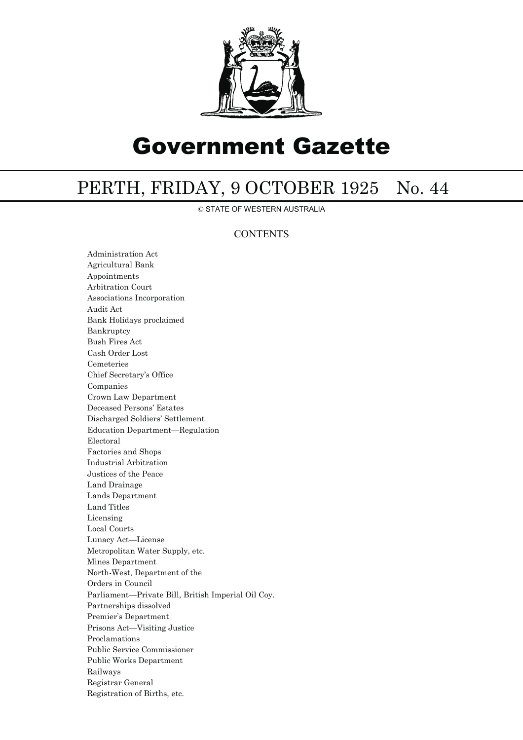

# Government Gazette

## PERTH, FRIDAY, 9 OCTOBER 1925 No. 44

© STATE OF WESTERN AUSTRALIA

### **CONTENTS**

Administration Act Agricultural Bank Appointments Arbitration Court Associations Incorporation Audit Act Bank Holidays proclaimed Bankruptcy Bush Fires Act Cash Order Lost Cemeteries Chief Secretary's Office Companies Crown Law Department Deceased Persons' Estates Discharged Soldiers' Settlement Education Department—Regulation Electoral Factories and Shops Industrial Arbitration Justices of the Peace Land Drainage Lands Department Land Titles Licensing Local Courts Lunacy Act—License Metropolitan Water Supply, etc. Mines Department North-West, Department of the Orders in Council Parliament—Private Bill, British Imperial Oil Coy. Partnerships dissolved Premier's Department Prisons Act—Visiting Justice Proclamations Public Service Commissioner Public Works Department Railways Registrar General Registration of Births, etc.